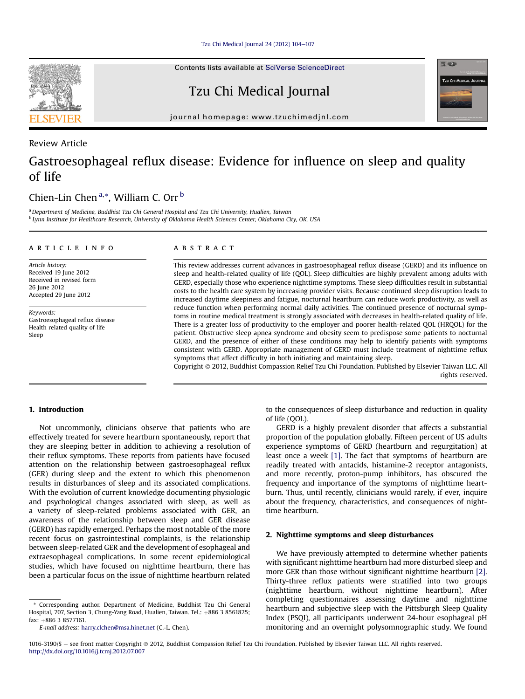Tzu Chi Medical Journal  $24$  ( $2012$ )  $104-107$  $104-107$ 

Contents lists available at [SciVerse ScienceDirect](www.sciencedirect.com/science/journal/10163190)

Tzu Chi Medical Journal

journal homepage: [www.tzuchimedjnl.com](http://www.tzuchimedjnl.com)

### Review Article

# Gastroesophageal reflux disease: Evidence for influence on sleep and quality of life

## Chien-Lin Chen<sup>a,\*</sup>, William C. Orr<sup>b</sup>

a Department of Medicine, Buddhist Tzu Chi General Hospital and Tzu Chi University, Hualien, Taiwan b Lynn Institute for Healthcare Research, University of Oklahoma Health Sciences Center, Oklahoma City, OK, USA

#### article info

Article history: Received 19 June 2012 Received in revised form 26 June 2012 Accepted 29 June 2012

Keywords: Gastroesophageal reflux disease Health related quality of life Sleep

#### **ABSTRACT**

This review addresses current advances in gastroesophageal reflux disease (GERD) and its influence on sleep and health-related quality of life (QOL). Sleep difficulties are highly prevalent among adults with GERD, especially those who experience nighttime symptoms. These sleep difficulties result in substantial costs to the health care system by increasing provider visits. Because continued sleep disruption leads to increased daytime sleepiness and fatigue, nocturnal heartburn can reduce work productivity, as well as reduce function when performing normal daily activities. The continued presence of nocturnal symptoms in routine medical treatment is strongly associated with decreases in health-related quality of life. There is a greater loss of productivity to the employer and poorer health-related QOL (HRQOL) for the patient. Obstructive sleep apnea syndrome and obesity seem to predispose some patients to nocturnal GERD, and the presence of either of these conditions may help to identify patients with symptoms consistent with GERD. Appropriate management of GERD must include treatment of nighttime reflux symptoms that affect difficulty in both initiating and maintaining sleep.

Copyright 2012, Buddhist Compassion Relief Tzu Chi Foundation. Published by Elsevier Taiwan LLC. All rights reserved.

#### 1. Introduction

Not uncommonly, clinicians observe that patients who are effectively treated for severe heartburn spontaneously, report that they are sleeping better in addition to achieving a resolution of their reflux symptoms. These reports from patients have focused attention on the relationship between gastroesophageal reflux (GER) during sleep and the extent to which this phenomenon results in disturbances of sleep and its associated complications. With the evolution of current knowledge documenting physiologic and psychological changes associated with sleep, as well as a variety of sleep-related problems associated with GER, an awareness of the relationship between sleep and GER disease (GERD) has rapidly emerged. Perhaps the most notable of the more recent focus on gastrointestinal complaints, is the relationship between sleep-related GER and the development of esophageal and extraesophageal complications. In some recent epidemiological studies, which have focused on nighttime heartburn, there has been a particular focus on the issue of nighttime heartburn related

\* Corresponding author. Department of Medicine, Buddhist Tzu Chi General Hospital, 707, Section 3, Chung-Yang Road, Hualien, Taiwan. Tel.: +886 3 8561825; fax:  $+886$  3 8577161.

E-mail address: [harry.clchen@msa.hinet.net](mailto:harry.clchen@msa.hinet.net) (C.-L. Chen).

to the consequences of sleep disturbance and reduction in quality of life (QOL).

GERD is a highly prevalent disorder that affects a substantial proportion of the population globally. Fifteen percent of US adults experience symptoms of GERD (heartburn and regurgitation) at least once a week [\[1\]](#page-3-0). The fact that symptoms of heartburn are readily treated with antacids, histamine-2 receptor antagonists, and more recently, proton-pump inhibitors, has obscured the frequency and importance of the symptoms of nighttime heartburn. Thus, until recently, clinicians would rarely, if ever, inquire about the frequency, characteristics, and consequences of nighttime heartburn.

#### 2. Nighttime symptoms and sleep disturbances

We have previously attempted to determine whether patients with significant nighttime heartburn had more disturbed sleep and more GER than those without significant nighttime heartburn [\[2\].](#page-3-0) Thirty-three reflux patients were stratified into two groups (nighttime heartburn, without nighttime heartburn). After completing questionnaires assessing daytime and nighttime heartburn and subjective sleep with the Pittsburgh Sleep Quality Index (PSQI), all participants underwent 24-hour esophageal pH monitoring and an overnight polysomnographic study. We found





<sup>1016-3190/\$ -</sup> see front matter Copyright © 2012, Buddhist Compassion Relief Tzu Chi Foundation. Published by Elsevier Taiwan LLC. All rights reserved. <http://dx.doi.org/10.1016/j.tcmj.2012.07.007>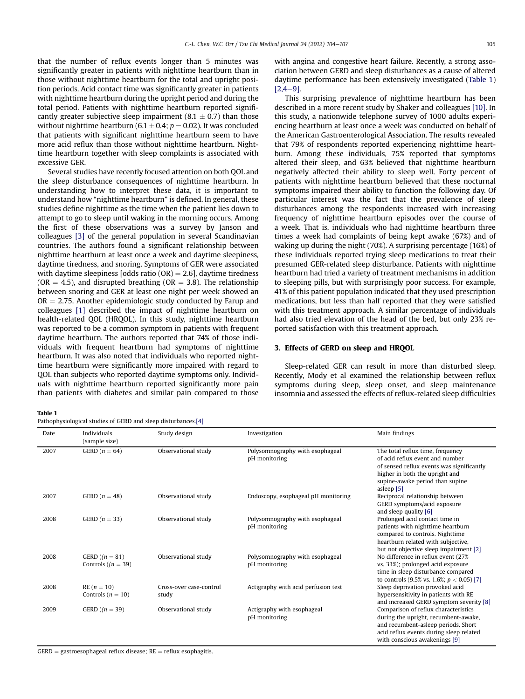that the number of reflux events longer than 5 minutes was significantly greater in patients with nighttime heartburn than in those without nighttime heartburn for the total and upright position periods. Acid contact time was significantly greater in patients with nighttime heartburn during the upright period and during the total period. Patients with nighttime heartburn reported significantly greater subjective sleep impairment  $(8.1 \pm 0.7)$  than those without nighttime heartburn (6.1  $\pm$  0.4;  $p$  = 0.02). It was concluded that patients with significant nighttime heartburn seem to have more acid reflux than those without nighttime heartburn. Nighttime heartburn together with sleep complaints is associated with excessive GER.

Several studies have recently focused attention on both QOL and the sleep disturbance consequences of nighttime heartburn. In understanding how to interpret these data, it is important to understand how "nighttime heartburn" is defined. In general, these studies define nighttime as the time when the patient lies down to attempt to go to sleep until waking in the morning occurs. Among the first of these observations was a survey by Janson and colleagues [\[3\]](#page-3-0) of the general population in several Scandinavian countries. The authors found a significant relationship between nighttime heartburn at least once a week and daytime sleepiness, daytime tiredness, and snoring. Symptoms of GER were associated with daytime sleepiness [odds ratio  $(OR) = 2.6$ ], daytime tiredness ( $OR = 4.5$ ), and disrupted breathing ( $OR = 3.8$ ). The relationship between snoring and GER at least one night per week showed an  $OR = 2.75$ . Another epidemiologic study conducted by Farup and colleagues [\[1\]](#page-3-0) described the impact of nighttime heartburn on health-related QOL (HRQOL). In this study, nighttime heartburn was reported to be a common symptom in patients with frequent daytime heartburn. The authors reported that 74% of those individuals with frequent heartburn had symptoms of nighttime heartburn. It was also noted that individuals who reported nighttime heartburn were significantly more impaired with regard to QOL than subjects who reported daytime symptoms only. Individuals with nighttime heartburn reported significantly more pain than patients with diabetes and similar pain compared to those with angina and congestive heart failure. Recently, a strong association between GERD and sleep disturbances as a cause of altered daytime performance has been extensively investigated (Table 1)  $[2,4-9]$  $[2,4-9]$ .

This surprising prevalence of nighttime heartburn has been described in a more recent study by Shaker and colleagues [\[10\].](#page-3-0) In this study, a nationwide telephone survey of 1000 adults experiencing heartburn at least once a week was conducted on behalf of the American Gastroenterological Association. The results revealed that 79% of respondents reported experiencing nighttime heartburn. Among these individuals, 75% reported that symptoms altered their sleep, and 63% believed that nighttime heartburn negatively affected their ability to sleep well. Forty percent of patients with nighttime heartburn believed that these nocturnal symptoms impaired their ability to function the following day. Of particular interest was the fact that the prevalence of sleep disturbances among the respondents increased with increasing frequency of nighttime heartburn episodes over the course of a week. That is, individuals who had nighttime heartburn three times a week had complaints of being kept awake (67%) and of waking up during the night (70%). A surprising percentage (16%) of these individuals reported trying sleep medications to treat their presumed GER-related sleep disturbance. Patients with nighttime heartburn had tried a variety of treatment mechanisms in addition to sleeping pills, but with surprisingly poor success. For example, 41% of this patient population indicated that they used prescription medications, but less than half reported that they were satisfied with this treatment approach. A similar percentage of individuals had also tried elevation of the head of the bed, but only 23% reported satisfaction with this treatment approach.

#### 3. Effects of GERD on sleep and HRQOL

Sleep-related GER can result in more than disturbed sleep. Recently, Mody et al examined the relationship between reflux symptoms during sleep, sleep onset, and sleep maintenance insomnia and assessed the effects of reflux-related sleep difficulties

Table 1

| Pathophysiological studies of GERD and sleep disturbances.[4] |  |
|---------------------------------------------------------------|--|
|---------------------------------------------------------------|--|

| Date | Individuals<br>(sample size)               | Study design                     | Investigation                                    | Main findings                                                                                                                                                                                         |
|------|--------------------------------------------|----------------------------------|--------------------------------------------------|-------------------------------------------------------------------------------------------------------------------------------------------------------------------------------------------------------|
| 2007 | GERD $(n = 64)$                            | Observational study              | Polysomnography with esophageal<br>pH monitoring | The total reflux time, frequency<br>of acid reflux event and number<br>of sensed reflux events was significantly<br>higher in both the upright and<br>supine-awake period than supine<br>asleep $[5]$ |
| 2007 | GERD $(n = 48)$                            | Observational study              | Endoscopy, esophageal pH monitoring              | Reciprocal relationship between<br>GERD symptoms/acid exposure<br>and sleep quality $[6]$                                                                                                             |
| 2008 | GERD $(n = 33)$                            | Observational study              | Polysomnography with esophageal<br>pH monitoring | Prolonged acid contact time in<br>patients with nighttime heartburn<br>compared to controls. Nighttime<br>heartburn related with subjective,<br>but not objective sleep impairment [2]                |
| 2008 | GERD $(n = 81)$<br>Controls ( $(n = 39)$ ) | Observational study              | Polysomnography with esophageal<br>pH monitoring | No difference in reflux event (27%<br>vs. 33%); prolonged acid exposure<br>time in sleep disturbance compared<br>to controls $(9.5\% \text{ vs. } 1.6\%; p < 0.05)$ [7]                               |
| 2008 | $RE(n = 10)$<br>Controls ( $n = 10$ )      | Cross-over case-control<br>study | Actigraphy with acid perfusion test              | Sleep deprivation provoked acid<br>hypersensitivity in patients with RE<br>and increased GERD symptom severity [8]                                                                                    |
| 2009 | <b>GERD</b> ( $(n = 39)$ )                 | Observational study              | Actigraphy with esophageal<br>pH monitoring      | Comparison of reflux characteristics<br>during the upright, recumbent-awake,<br>and recumbent-asleep periods. Short<br>acid reflux events during sleep related<br>with conscious awakenings [9]       |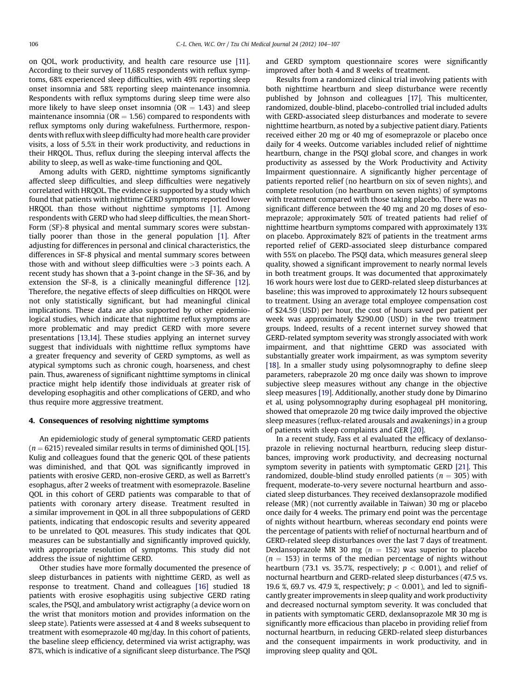on QOL, work productivity, and health care resource use [\[11\].](#page-3-0) According to their survey of 11,685 respondents with reflux symptoms, 68% experienced sleep difficulties, with 49% reporting sleep onset insomnia and 58% reporting sleep maintenance insomnia. Respondents with reflux symptoms during sleep time were also more likely to have sleep onset insomnia ( $OR = 1.43$ ) and sleep maintenance insomnia ( $OR = 1.56$ ) compared to respondents with reflux symptoms only during wakefulness. Furthermore, respondents with reflux with sleep difficulty had more health care provider visits, a loss of 5.5% in their work productivity, and reductions in their HRQOL. Thus, reflux during the sleeping interval affects the ability to sleep, as well as wake-time functioning and QOL.

Among adults with GERD, nighttime symptoms significantly affected sleep difficulties, and sleep difficulties were negatively correlated with HRQOL. The evidence is supported by a study which found that patients with nighttime GERD symptoms reported lower HRQOL than those without nighttime symptoms [\[1\]](#page-3-0). Among respondents with GERD who had sleep difficulties, the mean Short-Form (SF)-8 physical and mental summary scores were substantially poorer than those in the general population [\[1\].](#page-3-0) After adjusting for differences in personal and clinical characteristics, the differences in SF-8 physical and mental summary scores between those with and without sleep difficulties were >3 points each. A recent study has shown that a 3-point change in the SF-36, and by extension the SF-8, is a clinically meaningful difference [\[12\]](#page-3-0). Therefore, the negative effects of sleep difficulties on HRQOL were not only statistically significant, but had meaningful clinical implications. These data are also supported by other epidemiological studies, which indicate that nighttime reflux symptoms are more problematic and may predict GERD with more severe presentations [\[13,14\]](#page-3-0). These studies applying an internet survey suggest that individuals with nighttime reflux symptoms have a greater frequency and severity of GERD symptoms, as well as atypical symptoms such as chronic cough, hoarseness, and chest pain. Thus, awareness of significant nighttime symptoms in clinical practice might help identify those individuals at greater risk of developing esophagitis and other complications of GERD, and who thus require more aggressive treatment.

#### 4. Consequences of resolving nighttime symptoms

An epidemiologic study of general symptomatic GERD patients  $(n = 6215)$  revealed similar results in terms of diminished QOL [\[15\]](#page-3-0). Kulig and colleagues found that the generic QOL of these patients was diminished, and that QOL was significantly improved in patients with erosive GERD, non-erosive GERD, as well as Barrett's esophagus, after 2 weeks of treatment with esomeprazole. Baseline QOL in this cohort of GERD patients was comparable to that of patients with coronary artery disease. Treatment resulted in a similar improvement in QOL in all three subpopulations of GERD patients, indicating that endoscopic results and severity appeared to be unrelated to QOL measures. This study indicates that QOL measures can be substantially and significantly improved quickly, with appropriate resolution of symptoms. This study did not address the issue of nighttime GERD.

Other studies have more formally documented the presence of sleep disturbances in patients with nighttime GERD, as well as response to treatment. Chand and colleagues [\[16\]](#page-3-0) studied 18 patients with erosive esophagitis using subjective GERD rating scales, the PSQI, and ambulatory wrist actigraphy (a device worn on the wrist that monitors motion and provides information on the sleep state). Patients were assessed at 4 and 8 weeks subsequent to treatment with esomeprazole 40 mg/day. In this cohort of patients, the baseline sleep efficiency, determined via wrist actigraphy, was 87%, which is indicative of a significant sleep disturbance. The PSQI and GERD symptom questionnaire scores were significantly improved after both 4 and 8 weeks of treatment.

Results from a randomized clinical trial involving patients with both nighttime heartburn and sleep disturbance were recently published by Johnson and colleagues [\[17\]](#page-3-0). This multicenter, randomized, double-blind, placebo-controlled trial included adults with GERD-associated sleep disturbances and moderate to severe nighttime heartburn, as noted by a subjective patient diary. Patients received either 20 mg or 40 mg of esomeprazole or placebo once daily for 4 weeks. Outcome variables included relief of nighttime heartburn, change in the PSQI global score, and changes in work productivity as assessed by the Work Productivity and Activity Impairment questionnaire. A significantly higher percentage of patients reported relief (no heartburn on six of seven nights), and complete resolution (no heartburn on seven nights) of symptoms with treatment compared with those taking placebo. There was no significant difference between the 40 mg and 20 mg doses of esomeprazole; approximately 50% of treated patients had relief of nighttime heartburn symptoms compared with approximately 13% on placebo. Approximately 82% of patients in the treatment arms reported relief of GERD-associated sleep disturbance compared with 55% on placebo. The PSQI data, which measures general sleep quality, showed a significant improvement to nearly normal levels in both treatment groups. It was documented that approximately 16 work hours were lost due to GERD-related sleep disturbances at baseline; this was improved to approximately 12 hours subsequent to treatment. Using an average total employee compensation cost of \$24.59 (USD) per hour, the cost of hours saved per patient per week was approximately \$290.00 (USD) in the two treatment groups. Indeed, results of a recent internet survey showed that GERD-related symptom severity was strongly associated with work impairment, and that nighttime GERD was associated with substantially greater work impairment, as was symptom severity [\[18\].](#page-3-0) In a smaller study using polysomnography to define sleep parameters, rabeprazole 20 mg once daily was shown to improve subjective sleep measures without any change in the objective sleep measures [\[19\]](#page-3-0). Additionally, another study done by Dimarino et al, using polysomnography during esophageal pH monitoring, showed that omeprazole 20 mg twice daily improved the objective sleep measures (reflux-related arousals and awakenings) in a group of patients with sleep complaints and GER [\[20\].](#page-3-0)

In a recent study, Fass et al evaluated the efficacy of dexlansoprazole in relieving nocturnal heartburn, reducing sleep disturbances, improving work productivity, and decreasing nocturnal symptom severity in patients with symptomatic GERD [\[21\]](#page-3-0). This randomized, double-blind study enrolled patients ( $n = 305$ ) with frequent, moderate-to-very severe nocturnal heartburn and associated sleep disturbances. They received dexlansoprazole modified release (MR) (not currently available in Taiwan) 30 mg or placebo once daily for 4 weeks. The primary end point was the percentage of nights without heartburn, whereas secondary end points were the percentage of patients with relief of nocturnal heartburn and of GERD-related sleep disturbances over the last 7 days of treatment. Dexlansoprazole MR 30 mg ( $n = 152$ ) was superior to placebo  $(n = 153)$  in terms of the median percentage of nights without heartburn (73.1 vs. 35.7%, respectively;  $p < 0.001$ ), and relief of nocturnal heartburn and GERD-related sleep disturbances (47.5 vs. 19.6 %, 69.7 vs. 47.9 %, respectively;  $p < 0.001$ ), and led to significantly greater improvements in sleep quality and work productivity and decreased nocturnal symptom severity. It was concluded that in patients with symptomatic GERD, dexlansoprazole MR 30 mg is significantly more efficacious than placebo in providing relief from nocturnal heartburn, in reducing GERD-related sleep disturbances and the consequent impairments in work productivity, and in improving sleep quality and QOL.